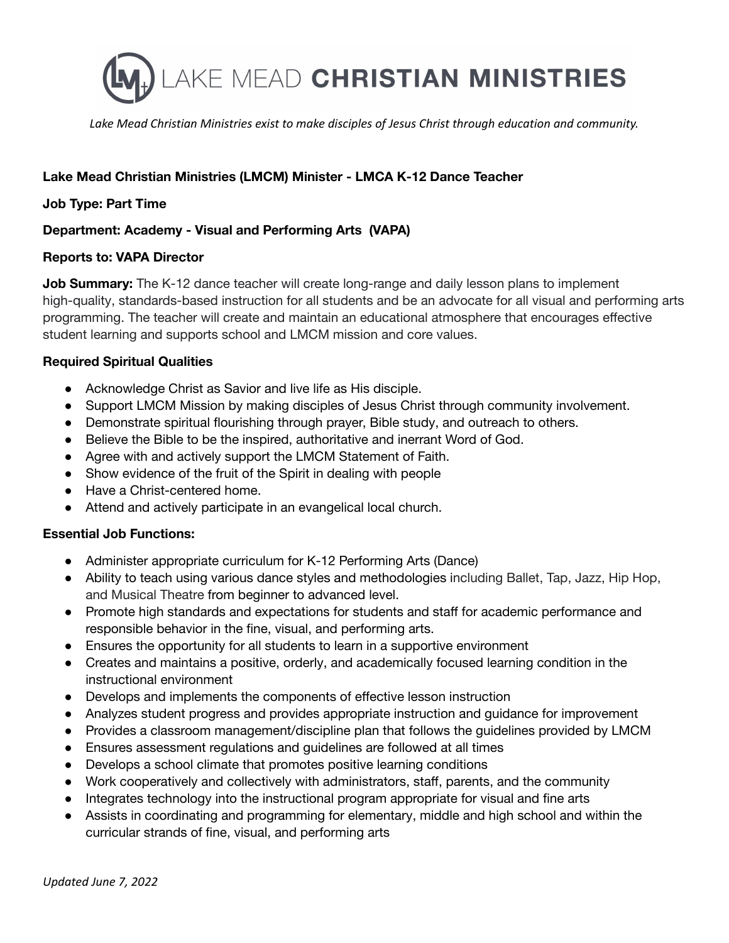

*Lake Mead Christian Ministries exist to make disciples of Jesus Christ through education and community.*

# **Lake Mead Christian Ministries (LMCM) Minister - LMCA K-12 Dance Teacher**

## **Job Type: Part Time**

## **Department: Academy - Visual and Performing Arts (VAPA)**

#### **Reports to: VAPA Director**

**Job Summary:** The K-12 dance teacher will create long-range and daily lesson plans to implement high-quality, standards-based instruction for all students and be an advocate for all visual and performing arts programming. The teacher will create and maintain an educational atmosphere that encourages effective student learning and supports school and LMCM mission and core values.

#### **Required Spiritual Qualities**

- Acknowledge Christ as Savior and live life as His disciple.
- Support LMCM Mission by making disciples of Jesus Christ through community involvement.
- Demonstrate spiritual flourishing through prayer, Bible study, and outreach to others.
- Believe the Bible to be the inspired, authoritative and inerrant Word of God.
- Agree with and actively support the LMCM Statement of Faith.
- Show evidence of the fruit of the Spirit in dealing with people
- Have a Christ-centered home.
- Attend and actively participate in an evangelical local church.

## **Essential Job Functions:**

- Administer appropriate curriculum for K-12 Performing Arts (Dance)
- Ability to teach using various dance styles and methodologies including Ballet, Tap, Jazz, Hip Hop, and Musical Theatre from beginner to advanced level.
- Promote high standards and expectations for students and staff for academic performance and responsible behavior in the fine, visual, and performing arts.
- Ensures the opportunity for all students to learn in a supportive environment
- Creates and maintains a positive, orderly, and academically focused learning condition in the instructional environment
- Develops and implements the components of effective lesson instruction
- Analyzes student progress and provides appropriate instruction and guidance for improvement
- Provides a classroom management/discipline plan that follows the guidelines provided by LMCM
- Ensures assessment regulations and guidelines are followed at all times
- Develops a school climate that promotes positive learning conditions
- Work cooperatively and collectively with administrators, staff, parents, and the community
- Integrates technology into the instructional program appropriate for visual and fine arts
- Assists in coordinating and programming for elementary, middle and high school and within the curricular strands of fine, visual, and performing arts